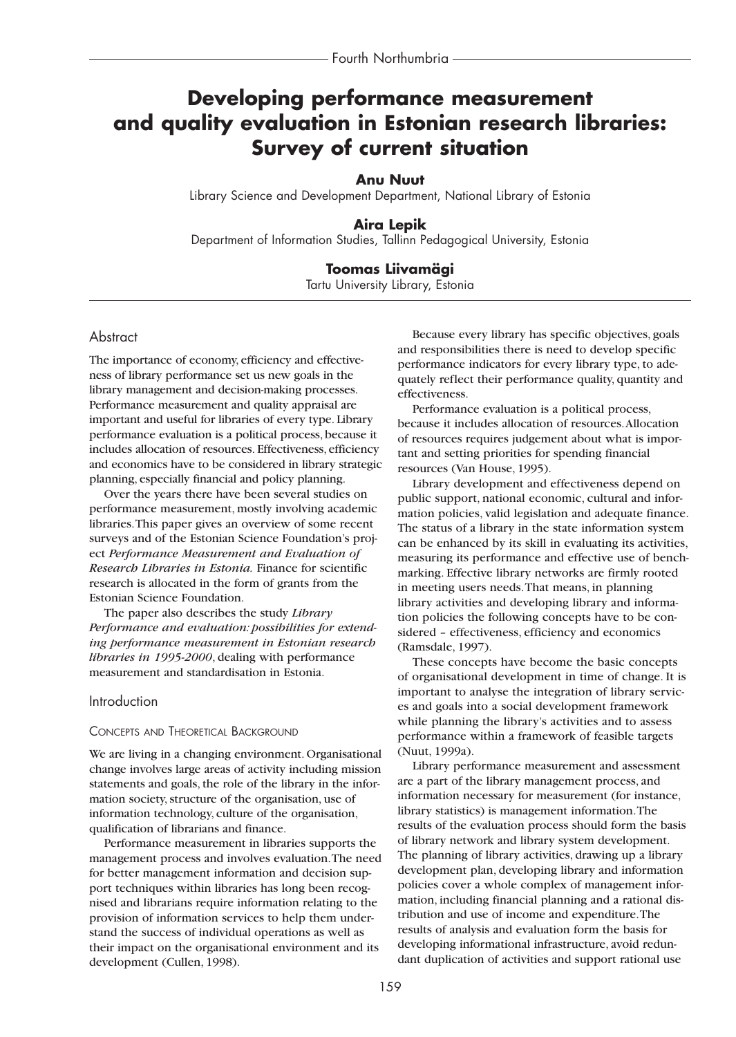# **Developing performance measurement and quality evaluation in Estonian research libraries: Survey of current situation**

## **Anu Nuut**

Library Science and Development Department, National Library of Estonia

## **Aira Lepik**

Department of Information Studies, Tallinn Pedagogical University, Estonia

## **Toomas Liivamägi**

Tartu University Library, Estonia

### Abstract

The importance of economy, efficiency and effectiveness of library performance set us new goals in the library management and decision-making processes. Performance measurement and quality appraisal are important and useful for libraries of every type. Library performance evaluation is a political process, because it includes allocation of resources. Effectiveness, efficiency and economics have to be considered in library strategic planning, especially financial and policy planning.

Over the years there have been several studies on performance measurement, mostly involving academic libraries.This paper gives an overview of some recent surveys and of the Estonian Science Foundation's project *Performance Measurement and Evaluation of Research Libraries in Estonia.* Finance for scientific research is allocated in the form of grants from the Estonian Science Foundation.

The paper also describes the study *Library Performance and evaluation: possibilities for extending performance measurement in Estonian research libraries in 1995-2000*, dealing with performance measurement and standardisation in Estonia.

#### Introduction

#### CONCEPTS AND THEORETICAL BACKGROUND

We are living in a changing environment. Organisational change involves large areas of activity including mission statements and goals, the role of the library in the information society, structure of the organisation, use of information technology, culture of the organisation, qualification of librarians and finance.

Performance measurement in libraries supports the management process and involves evaluation.The need for better management information and decision support techniques within libraries has long been recognised and librarians require information relating to the provision of information services to help them understand the success of individual operations as well as their impact on the organisational environment and its development (Cullen, 1998).

Because every library has specific objectives, goals and responsibilities there is need to develop specific performance indicators for every library type, to adequately reflect their performance quality, quantity and effectiveness.

Performance evaluation is a political process, because it includes allocation of resources.Allocation of resources requires judgement about what is important and setting priorities for spending financial resources (Van House, 1995).

Library development and effectiveness depend on public support, national economic, cultural and information policies, valid legislation and adequate finance. The status of a library in the state information system can be enhanced by its skill in evaluating its activities, measuring its performance and effective use of benchmarking. Effective library networks are firmly rooted in meeting users needs.That means, in planning library activities and developing library and information policies the following concepts have to be considered – effectiveness, efficiency and economics (Ramsdale, 1997).

These concepts have become the basic concepts of organisational development in time of change. It is important to analyse the integration of library services and goals into a social development framework while planning the library's activities and to assess performance within a framework of feasible targets (Nuut, 1999a).

Library performance measurement and assessment are a part of the library management process, and information necessary for measurement (for instance, library statistics) is management information.The results of the evaluation process should form the basis of library network and library system development. The planning of library activities, drawing up a library development plan, developing library and information policies cover a whole complex of management information, including financial planning and a rational distribution and use of income and expenditure.The results of analysis and evaluation form the basis for developing informational infrastructure, avoid redundant duplication of activities and support rational use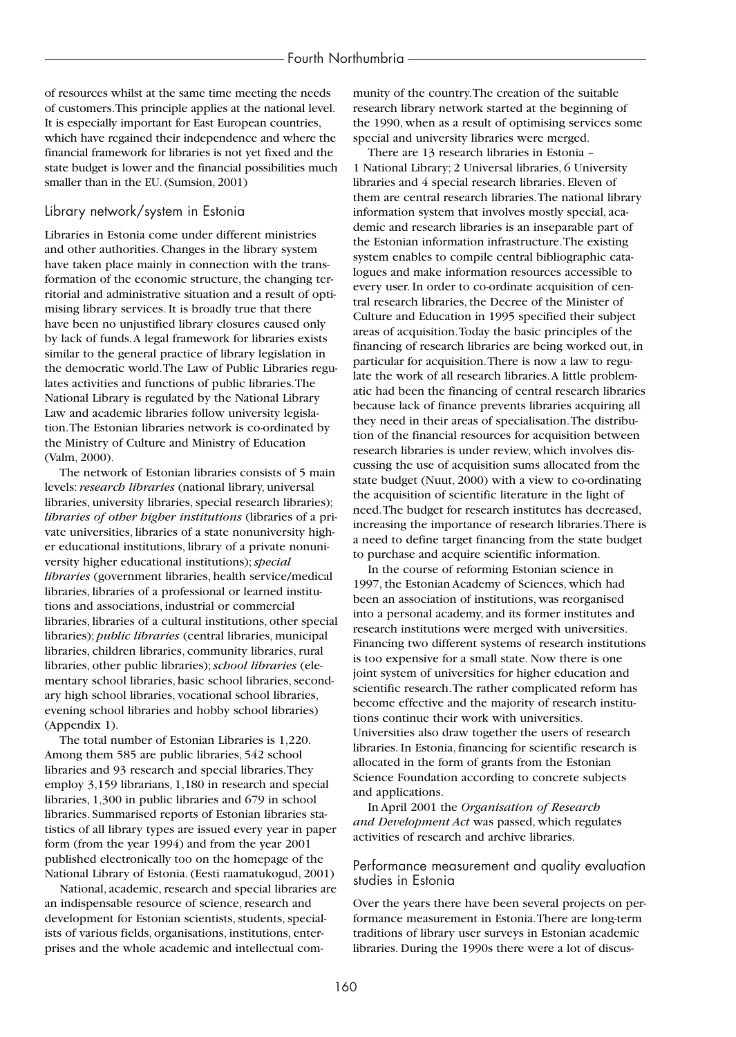of resources whilst at the same time meeting the needs of customers.This principle applies at the national level. It is especially important for East European countries, which have regained their independence and where the financial framework for libraries is not yet fixed and the state budget is lower and the financial possibilities much smaller than in the EU. (Sumsion, 2001)

#### Library network/system in Estonia

Libraries in Estonia come under different ministries and other authorities. Changes in the library system have taken place mainly in connection with the transformation of the economic structure, the changing territorial and administrative situation and a result of optimising library services. It is broadly true that there have been no unjustified library closures caused only by lack of funds.A legal framework for libraries exists similar to the general practice of library legislation in the democratic world.The Law of Public Libraries regulates activities and functions of public libraries.The National Library is regulated by the National Library Law and academic libraries follow university legislation.The Estonian libraries network is co-ordinated by the Ministry of Culture and Ministry of Education (Valm, 2000).

The network of Estonian libraries consists of 5 main levels: *research libraries* (national library, universal libraries, university libraries, special research libraries); *libraries of other higher institutions* (libraries of a private universities, libraries of a state nonuniversity higher educational institutions, library of a private nonuniversity higher educational institutions);*special libraries* (government libraries, health service/medical libraries, libraries of a professional or learned institutions and associations, industrial or commercial libraries, libraries of a cultural institutions, other special libraries); *public libraries* (central libraries, municipal libraries, children libraries, community libraries, rural libraries, other public libraries);*school libraries* (elementary school libraries, basic school libraries, secondary high school libraries, vocational school libraries, evening school libraries and hobby school libraries) (Appendix 1).

The total number of Estonian Libraries is 1,220. Among them 585 are public libraries, 542 school libraries and 93 research and special libraries.They employ 3,159 librarians, 1,180 in research and special libraries, 1,300 in public libraries and 679 in school libraries. Summarised reports of Estonian libraries statistics of all library types are issued every year in paper form (from the year 1994) and from the year 2001 published electronically too on the homepage of the National Library of Estonia. (Eesti raamatukogud, 2001)

National, academic, research and special libraries are an indispensable resource of science, research and development for Estonian scientists, students, specialists of various fields, organisations, institutions, enterprises and the whole academic and intellectual community of the country.The creation of the suitable research library network started at the beginning of the 1990, when as a result of optimising services some special and university libraries were merged.

There are 13 research libraries in Estonia – 1 National Library; 2 Universal libraries, 6 University libraries and 4 special research libraries. Eleven of them are central research libraries.The national library information system that involves mostly special, academic and research libraries is an inseparable part of the Estonian information infrastructure.The existing system enables to compile central bibliographic catalogues and make information resources accessible to every user. In order to co-ordinate acquisition of central research libraries, the Decree of the Minister of Culture and Education in 1995 specified their subject areas of acquisition.Today the basic principles of the financing of research libraries are being worked out, in particular for acquisition.There is now a law to regulate the work of all research libraries.A little problematic had been the financing of central research libraries because lack of finance prevents libraries acquiring all they need in their areas of specialisation.The distribution of the financial resources for acquisition between research libraries is under review, which involves discussing the use of acquisition sums allocated from the state budget (Nuut, 2000) with a view to co-ordinating the acquisition of scientific literature in the light of need.The budget for research institutes has decreased, increasing the importance of research libraries.There is a need to define target financing from the state budget to purchase and acquire scientific information.

In the course of reforming Estonian science in 1997, the Estonian Academy of Sciences, which had been an association of institutions, was reorganised into a personal academy, and its former institutes and research institutions were merged with universities. Financing two different systems of research institutions is too expensive for a small state. Now there is one joint system of universities for higher education and scientific research.The rather complicated reform has become effective and the majority of research institutions continue their work with universities. Universities also draw together the users of research libraries. In Estonia, financing for scientific research is allocated in the form of grants from the Estonian Science Foundation according to concrete subjects and applications.

In April 2001 the *Organisation of Research and Development Act* was passed, which regulates activities of research and archive libraries.

### Performance measurement and quality evaluation studies in Estonia

Over the years there have been several projects on performance measurement in Estonia.There are long-term traditions of library user surveys in Estonian academic libraries. During the 1990s there were a lot of discus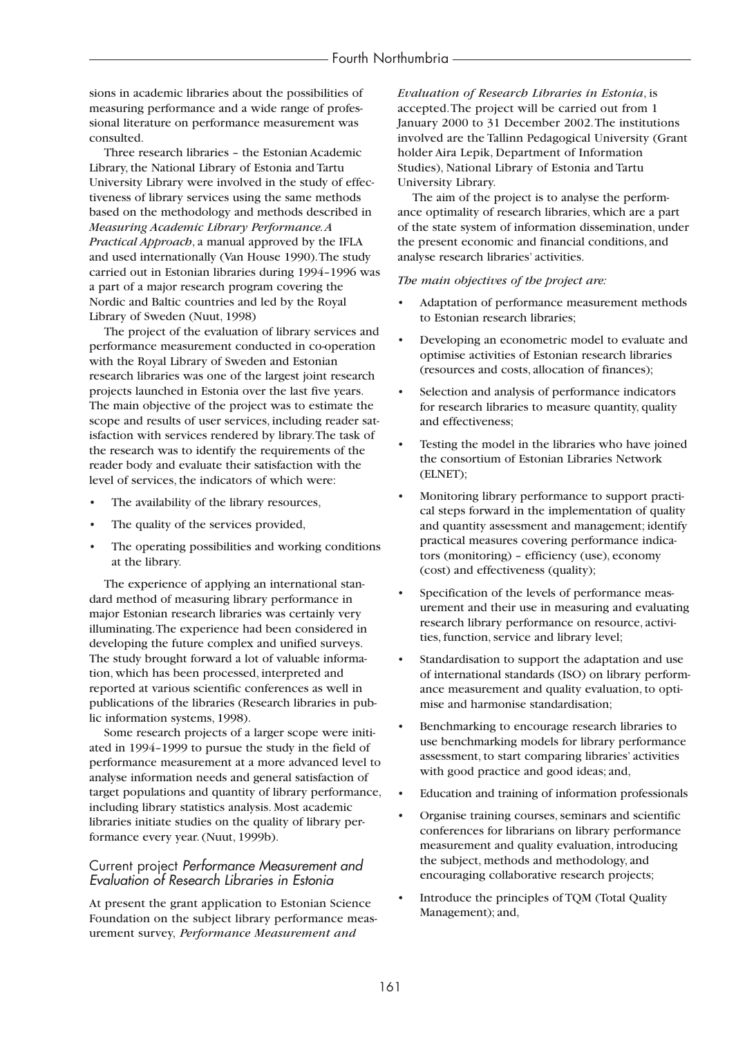sions in academic libraries about the possibilities of measuring performance and a wide range of professional literature on performance measurement was consulted.

Three research libraries – the Estonian Academic Library, the National Library of Estonia and Tartu University Library were involved in the study of effectiveness of library services using the same methods based on the methodology and methods described in *Measuring Academic Library Performance.A Practical Approach*, a manual approved by the IFLA and used internationally (Van House 1990).The study carried out in Estonian libraries during 1994–1996 was a part of a major research program covering the Nordic and Baltic countries and led by the Royal Library of Sweden (Nuut, 1998)

The project of the evaluation of library services and performance measurement conducted in co-operation with the Royal Library of Sweden and Estonian research libraries was one of the largest joint research projects launched in Estonia over the last five years. The main objective of the project was to estimate the scope and results of user services, including reader satisfaction with services rendered by library.The task of the research was to identify the requirements of the reader body and evaluate their satisfaction with the level of services, the indicators of which were:

- The availability of the library resources,
- The quality of the services provided,
- The operating possibilities and working conditions at the library.

The experience of applying an international standard method of measuring library performance in major Estonian research libraries was certainly very illuminating.The experience had been considered in developing the future complex and unified surveys. The study brought forward a lot of valuable information, which has been processed, interpreted and reported at various scientific conferences as well in publications of the libraries (Research libraries in public information systems, 1998).

Some research projects of a larger scope were initiated in 1994–1999 to pursue the study in the field of performance measurement at a more advanced level to analyse information needs and general satisfaction of target populations and quantity of library performance, including library statistics analysis. Most academic libraries initiate studies on the quality of library performance every year. (Nuut, 1999b).

## Current project *Performance Measurement and Evaluation of Research Libraries in Estonia*

At present the grant application to Estonian Science Foundation on the subject library performance measurement survey, *Performance Measurement and*

*Evaluation of Research Libraries in Estonia*, is accepted.The project will be carried out from 1 January 2000 to 31 December 2002.The institutions involved are the Tallinn Pedagogical University (Grant holder Aira Lepik, Department of Information Studies), National Library of Estonia and Tartu University Library.

The aim of the project is to analyse the performance optimality of research libraries, which are a part of the state system of information dissemination, under the present economic and financial conditions, and analyse research libraries' activities.

#### *The main objectives of the project are:*

- Adaptation of performance measurement methods to Estonian research libraries;
- Developing an econometric model to evaluate and optimise activities of Estonian research libraries (resources and costs, allocation of finances);
- Selection and analysis of performance indicators for research libraries to measure quantity, quality and effectiveness;
- Testing the model in the libraries who have joined the consortium of Estonian Libraries Network (ELNET);
- Monitoring library performance to support practical steps forward in the implementation of quality and quantity assessment and management; identify practical measures covering performance indicators (monitoring) – efficiency (use), economy (cost) and effectiveness (quality);
- Specification of the levels of performance measurement and their use in measuring and evaluating research library performance on resource, activities, function, service and library level;
- Standardisation to support the adaptation and use of international standards (ISO) on library performance measurement and quality evaluation, to optimise and harmonise standardisation;
- Benchmarking to encourage research libraries to use benchmarking models for library performance assessment, to start comparing libraries' activities with good practice and good ideas; and,
- Education and training of information professionals
- Organise training courses, seminars and scientific conferences for librarians on library performance measurement and quality evaluation, introducing the subject, methods and methodology, and encouraging collaborative research projects;
- Introduce the principles of TQM (Total Quality Management); and,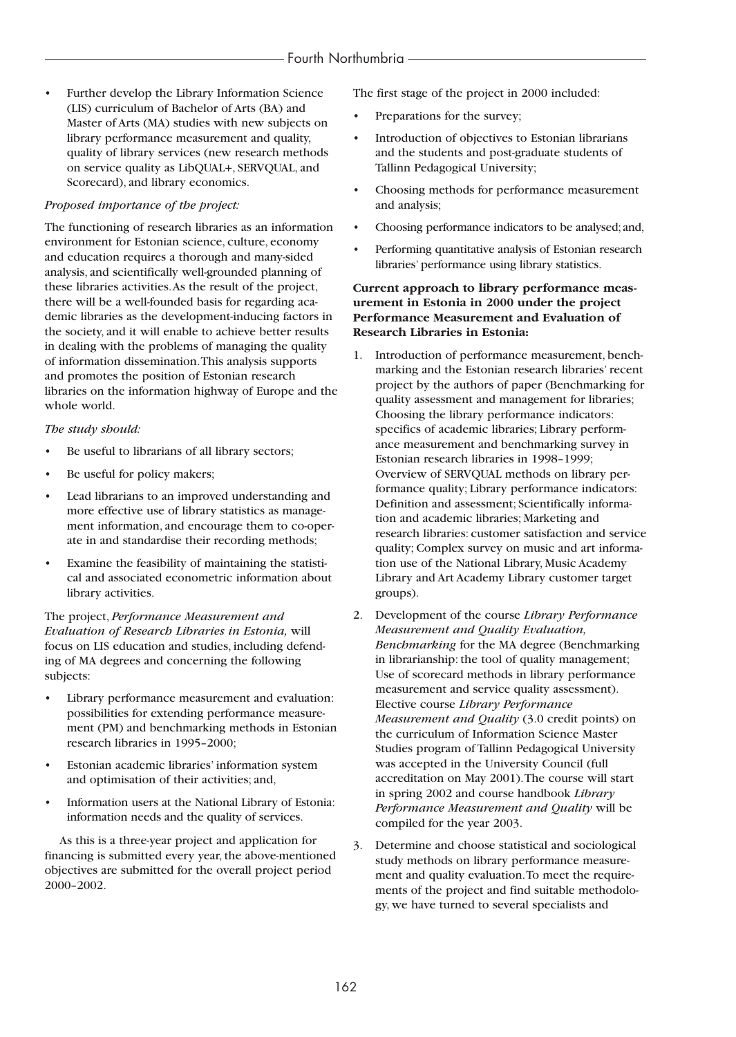• Further develop the Library Information Science (LIS) curriculum of Bachelor of Arts (BA) and Master of Arts (MA) studies with new subjects on library performance measurement and quality, quality of library services (new research methods on service quality as LibQUAL+, SERVQUAL, and Scorecard), and library economics.

## *Proposed importance of the project:*

The functioning of research libraries as an information environment for Estonian science, culture, economy and education requires a thorough and many-sided analysis, and scientifically well-grounded planning of these libraries activities.As the result of the project, there will be a well-founded basis for regarding academic libraries as the development-inducing factors in the society, and it will enable to achieve better results in dealing with the problems of managing the quality of information dissemination.This analysis supports and promotes the position of Estonian research libraries on the information highway of Europe and the whole world.

## *The study should:*

- Be useful to librarians of all library sectors;
- Be useful for policy makers;
- Lead librarians to an improved understanding and more effective use of library statistics as management information, and encourage them to co-operate in and standardise their recording methods;
- Examine the feasibility of maintaining the statistical and associated econometric information about library activities.

The project, *Performance Measurement and Evaluation of Research Libraries in Estonia,* will focus on LIS education and studies, including defending of MA degrees and concerning the following subjects:

- Library performance measurement and evaluation: possibilities for extending performance measurement (PM) and benchmarking methods in Estonian research libraries in 1995–2000;
- Estonian academic libraries' information system and optimisation of their activities; and,
- Information users at the National Library of Estonia: information needs and the quality of services.

As this is a three-year project and application for financing is submitted every year, the above-mentioned objectives are submitted for the overall project period 2000–2002.

The first stage of the project in 2000 included:

- Preparations for the survey;
- Introduction of objectives to Estonian librarians and the students and post-graduate students of Tallinn Pedagogical University;
- Choosing methods for performance measurement and analysis;
- Choosing performance indicators to be analysed; and,
- Performing quantitative analysis of Estonian research libraries' performance using library statistics.

## **Current approach to library performance measurement in Estonia in 2000 under the project Performance Measurement and Evaluation of Research Libraries in Estonia:**

- 1. Introduction of performance measurement, benchmarking and the Estonian research libraries' recent project by the authors of paper (Benchmarking for quality assessment and management for libraries; Choosing the library performance indicators: specifics of academic libraries; Library performance measurement and benchmarking survey in Estonian research libraries in 1998–1999; Overview of SERVQUAL methods on library performance quality; Library performance indicators: Definition and assessment; Scientifically information and academic libraries; Marketing and research libraries: customer satisfaction and service quality; Complex survey on music and art information use of the National Library, Music Academy Library and Art Academy Library customer target groups).
- 2. Development of the course *Library Performance Measurement and Quality Evaluation, Benchmarking* for the MA degree (Benchmarking in librarianship: the tool of quality management; Use of scorecard methods in library performance measurement and service quality assessment). Elective course *Library Performance Measurement and Quality* (3.0 credit points) on the curriculum of Information Science Master Studies program of Tallinn Pedagogical University was accepted in the University Council (full accreditation on May 2001).The course will start in spring 2002 and course handbook *Library Performance Measurement and Quality* will be compiled for the year 2003.
- 3. Determine and choose statistical and sociological study methods on library performance measurement and quality evaluation.To meet the requirements of the project and find suitable methodology, we have turned to several specialists and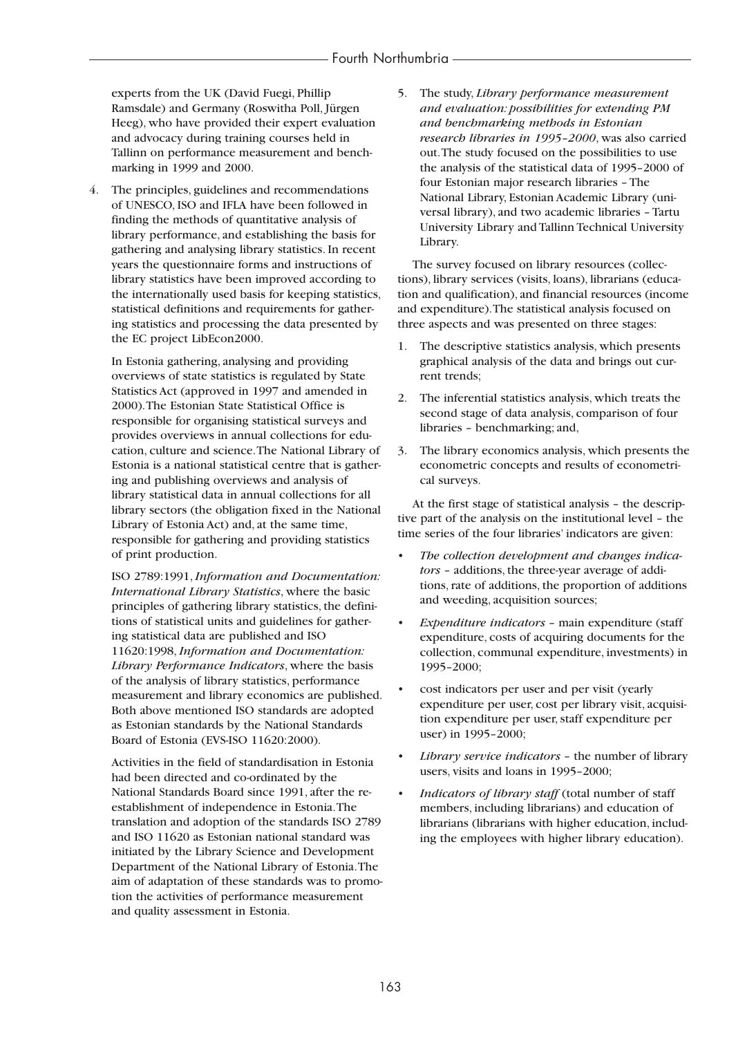experts from the UK (David Fuegi, Phillip Ramsdale) and Germany (Roswitha Poll, Jürgen Heeg), who have provided their expert evaluation and advocacy during training courses held in Tallinn on performance measurement and benchmarking in 1999 and 2000.

4. The principles, guidelines and recommendations of UNESCO, ISO and IFLA have been followed in finding the methods of quantitative analysis of library performance, and establishing the basis for gathering and analysing library statistics. In recent years the questionnaire forms and instructions of library statistics have been improved according to the internationally used basis for keeping statistics, statistical definitions and requirements for gathering statistics and processing the data presented by the EC project LibEcon2000.

In Estonia gathering, analysing and providing overviews of state statistics is regulated by State Statistics Act (approved in 1997 and amended in 2000).The Estonian State Statistical Office is responsible for organising statistical surveys and provides overviews in annual collections for education, culture and science.The National Library of Estonia is a national statistical centre that is gathering and publishing overviews and analysis of library statistical data in annual collections for all library sectors (the obligation fixed in the National Library of Estonia Act) and, at the same time, responsible for gathering and providing statistics of print production.

ISO 2789:1991, *Information and Documentation: International Library Statistics*, where the basic principles of gathering library statistics, the definitions of statistical units and guidelines for gathering statistical data are published and ISO 11620:1998,*Information and Documentation: Library Performance Indicators*, where the basis of the analysis of library statistics, performance measurement and library economics are published. Both above mentioned ISO standards are adopted as Estonian standards by the National Standards Board of Estonia (EVS-ISO 11620:2000).

Activities in the field of standardisation in Estonia had been directed and co-ordinated by the National Standards Board since 1991, after the reestablishment of independence in Estonia.The translation and adoption of the standards ISO 2789 and ISO 11620 as Estonian national standard was initiated by the Library Science and Development Department of the National Library of Estonia.The aim of adaptation of these standards was to promotion the activities of performance measurement and quality assessment in Estonia.

5. The study, *Library performance measurement and evaluation: possibilities for extending PM and benchmarking methods in Estonian research libraries in 1995–2000*, was also carried out.The study focused on the possibilities to use the analysis of the statistical data of 1995–2000 of four Estonian major research libraries – The National Library, Estonian Academic Library (universal library), and two academic libraries – Tartu University Library and Tallinn Technical University Library.

The survey focused on library resources (collections), library services (visits, loans), librarians (education and qualification), and financial resources (income and expenditure).The statistical analysis focused on three aspects and was presented on three stages:

- 1. The descriptive statistics analysis, which presents graphical analysis of the data and brings out current trends;
- 2. The inferential statistics analysis, which treats the second stage of data analysis, comparison of four libraries – benchmarking; and,
- 3. The library economics analysis, which presents the econometric concepts and results of econometrical surveys.

At the first stage of statistical analysis – the descriptive part of the analysis on the institutional level – the time series of the four libraries' indicators are given:

- *The collection development and changes indicators* – additions, the three-year average of additions, rate of additions, the proportion of additions and weeding, acquisition sources;
- *Expenditure indicators* main expenditure (staff expenditure, costs of acquiring documents for the collection, communal expenditure, investments) in 1995–2000;
- cost indicators per user and per visit (yearly expenditure per user, cost per library visit, acquisition expenditure per user, staff expenditure per user) in 1995–2000;
- *Library service indicators* the number of library users, visits and loans in 1995–2000;
- *Indicators of library staff* (total number of staff members, including librarians) and education of librarians (librarians with higher education, including the employees with higher library education).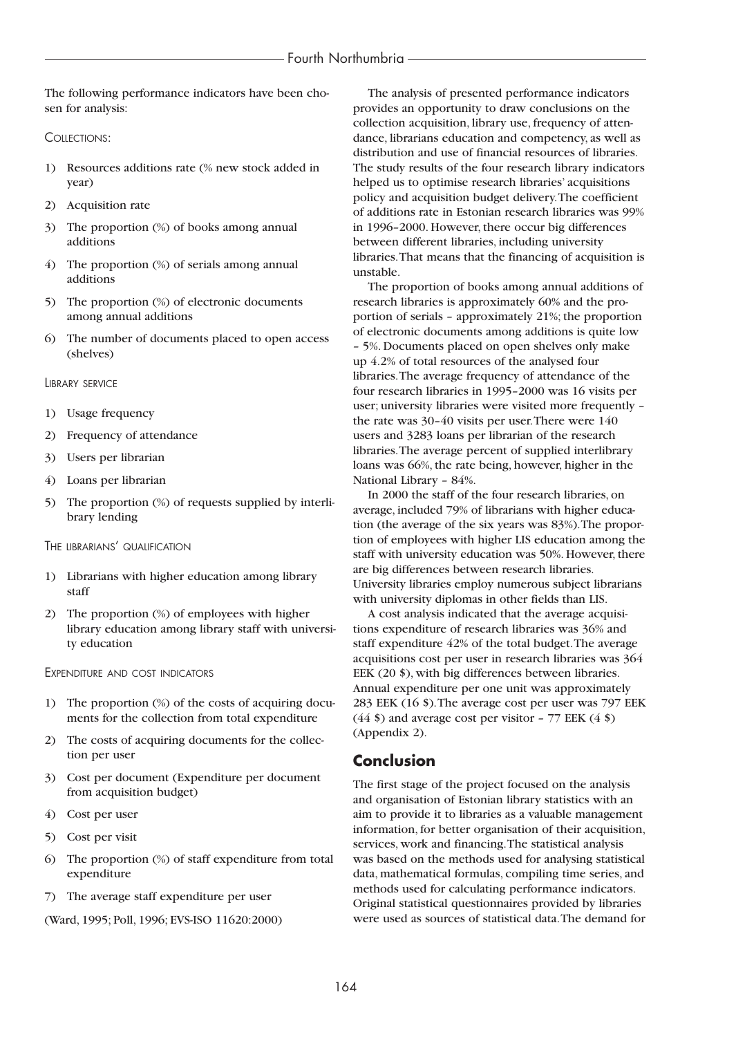The following performance indicators have been chosen for analysis:

COLLECTIONS:

- 1) Resources additions rate (% new stock added in year)
- 2) Acquisition rate
- 3) The proportion (%) of books among annual additions
- 4) The proportion (%) of serials among annual additions
- 5) The proportion (%) of electronic documents among annual additions
- 6) The number of documents placed to open access (shelves)

LIBRARY SERVICE

- 1) Usage frequency
- 2) Frequency of attendance
- 3) Users per librarian
- 4) Loans per librarian
- 5) The proportion (%) of requests supplied by interlibrary lending

THE LIBRARIANS' QUALIFICATION

- 1) Librarians with higher education among library staff
- 2) The proportion (%) of employees with higher library education among library staff with university education

EXPENDITURE AND COST INDICATORS

- 1) The proportion (%) of the costs of acquiring documents for the collection from total expenditure
- 2) The costs of acquiring documents for the collection per user
- 3) Cost per document (Expenditure per document from acquisition budget)
- 4) Cost per user
- 5) Cost per visit
- 6) The proportion (%) of staff expenditure from total expenditure
- 7) The average staff expenditure per user

(Ward, 1995; Poll, 1996; EVS-ISO 11620:2000)

The analysis of presented performance indicators provides an opportunity to draw conclusions on the collection acquisition, library use, frequency of attendance, librarians education and competency, as well as distribution and use of financial resources of libraries. The study results of the four research library indicators helped us to optimise research libraries' acquisitions policy and acquisition budget delivery.The coefficient of additions rate in Estonian research libraries was 99% in 1996–2000. However, there occur big differences between different libraries, including university libraries.That means that the financing of acquisition is unstable.

The proportion of books among annual additions of research libraries is approximately 60% and the proportion of serials – approximately 21%; the proportion of electronic documents among additions is quite low – 5%. Documents placed on open shelves only make up 4.2% of total resources of the analysed four libraries.The average frequency of attendance of the four research libraries in 1995–2000 was 16 visits per user; university libraries were visited more frequently – the rate was 30–40 visits per user.There were 140 users and 3283 loans per librarian of the research libraries.The average percent of supplied interlibrary loans was 66%, the rate being, however, higher in the National Library – 84%.

In 2000 the staff of the four research libraries, on average, included 79% of librarians with higher education (the average of the six years was 83%).The proportion of employees with higher LIS education among the staff with university education was 50%. However, there are big differences between research libraries. University libraries employ numerous subject librarians with university diplomas in other fields than LIS.

A cost analysis indicated that the average acquisitions expenditure of research libraries was 36% and staff expenditure 42% of the total budget.The average acquisitions cost per user in research libraries was 364 EEK (20 \$), with big differences between libraries. Annual expenditure per one unit was approximately 283 EEK (16 \$).The average cost per user was 797 EEK  $(44 \text{ s})$  and average cost per visitor - 77 EEK  $(4 \text{ s})$ (Appendix 2).

## **Conclusion**

The first stage of the project focused on the analysis and organisation of Estonian library statistics with an aim to provide it to libraries as a valuable management information, for better organisation of their acquisition, services, work and financing.The statistical analysis was based on the methods used for analysing statistical data, mathematical formulas, compiling time series, and methods used for calculating performance indicators. Original statistical questionnaires provided by libraries were used as sources of statistical data.The demand for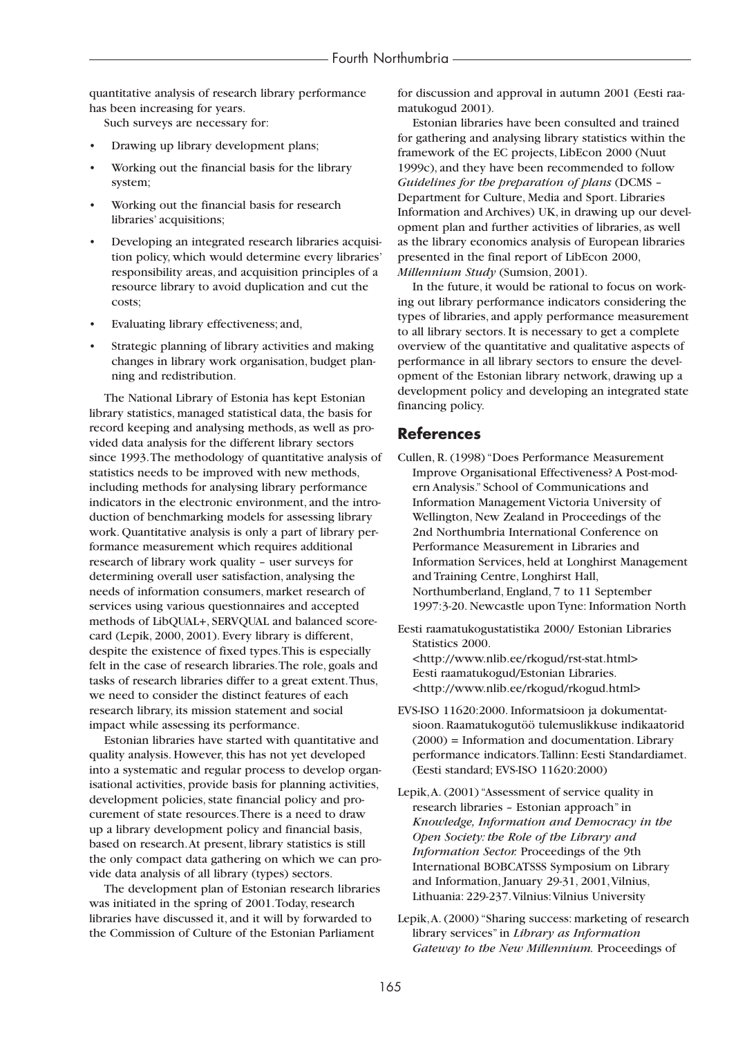quantitative analysis of research library performance has been increasing for years.

Such surveys are necessary for:

- Drawing up library development plans;
- Working out the financial basis for the library system;
- Working out the financial basis for research libraries' acquisitions;
- Developing an integrated research libraries acquisition policy, which would determine every libraries' responsibility areas, and acquisition principles of a resource library to avoid duplication and cut the costs;
- Evaluating library effectiveness; and,
- Strategic planning of library activities and making changes in library work organisation, budget planning and redistribution.

The National Library of Estonia has kept Estonian library statistics, managed statistical data, the basis for record keeping and analysing methods, as well as provided data analysis for the different library sectors since 1993.The methodology of quantitative analysis of statistics needs to be improved with new methods, including methods for analysing library performance indicators in the electronic environment, and the introduction of benchmarking models for assessing library work. Quantitative analysis is only a part of library performance measurement which requires additional research of library work quality – user surveys for determining overall user satisfaction, analysing the needs of information consumers, market research of services using various questionnaires and accepted methods of LibQUAL+, SERVQUAL and balanced scorecard (Lepik, 2000, 2001). Every library is different, despite the existence of fixed types.This is especially felt in the case of research libraries.The role, goals and tasks of research libraries differ to a great extent.Thus, we need to consider the distinct features of each research library, its mission statement and social impact while assessing its performance.

Estonian libraries have started with quantitative and quality analysis. However, this has not yet developed into a systematic and regular process to develop organisational activities, provide basis for planning activities, development policies, state financial policy and procurement of state resources.There is a need to draw up a library development policy and financial basis, based on research.At present, library statistics is still the only compact data gathering on which we can provide data analysis of all library (types) sectors.

The development plan of Estonian research libraries was initiated in the spring of 2001.Today, research libraries have discussed it, and it will by forwarded to the Commission of Culture of the Estonian Parliament

for discussion and approval in autumn 2001 (Eesti raamatukogud 2001).

Estonian libraries have been consulted and trained for gathering and analysing library statistics within the framework of the EC projects, LibEcon 2000 (Nuut 1999c), and they have been recommended to follow *Guidelines for the preparation of plans* (DCMS – Department for Culture, Media and Sport. Libraries Information and Archives) UK, in drawing up our development plan and further activities of libraries, as well as the library economics analysis of European libraries presented in the final report of LibEcon 2000, *Millennium Study* (Sumsion, 2001).

In the future, it would be rational to focus on working out library performance indicators considering the types of libraries, and apply performance measurement to all library sectors. It is necessary to get a complete overview of the quantitative and qualitative aspects of performance in all library sectors to ensure the development of the Estonian library network, drawing up a development policy and developing an integrated state financing policy.

## **References**

Cullen, R. (1998) "Does Performance Measurement Improve Organisational Effectiveness? A Post-modern Analysis." School of Communications and Information Management Victoria University of Wellington, New Zealand in Proceedings of the 2nd Northumbria International Conference on Performance Measurement in Libraries and Information Services, held at Longhirst Management and Training Centre, Longhirst Hall, Northumberland, England, 7 to 11 September 1997:3-20. Newcastle upon Tyne: Information North

Eesti raamatukogustatistika 2000/ Estonian Libraries Statistics 2000. <http://www.nlib.ee/rkogud/rst-stat.html> Eesti raamatukogud/Estonian Libraries. <http://www.nlib.ee/rkogud/rkogud.html>

- EVS-ISO 11620:2000. Informatsioon ja dokumentatsioon. Raamatukogutöö tulemuslikkuse indikaatorid (2000) = Information and documentation. Library performance indicators.Tallinn: Eesti Standardiamet. (Eesti standard; EVS-ISO 11620:2000)
- Lepik,A. (2001) "Assessment of service quality in research libraries – Estonian approach" in *Knowledge, Information and Democracy in the Open Society: the Role of the Library and Information Sector.* Proceedings of the 9th International BOBCATSSS Symposium on Library and Information, January 29-31, 2001,Vilnius, Lithuania: 229-237.Vilnius:Vilnius University
- Lepik,A. (2000) "Sharing success: marketing of research library services" in *Library as Information Gateway to the New Millennium.* Proceedings of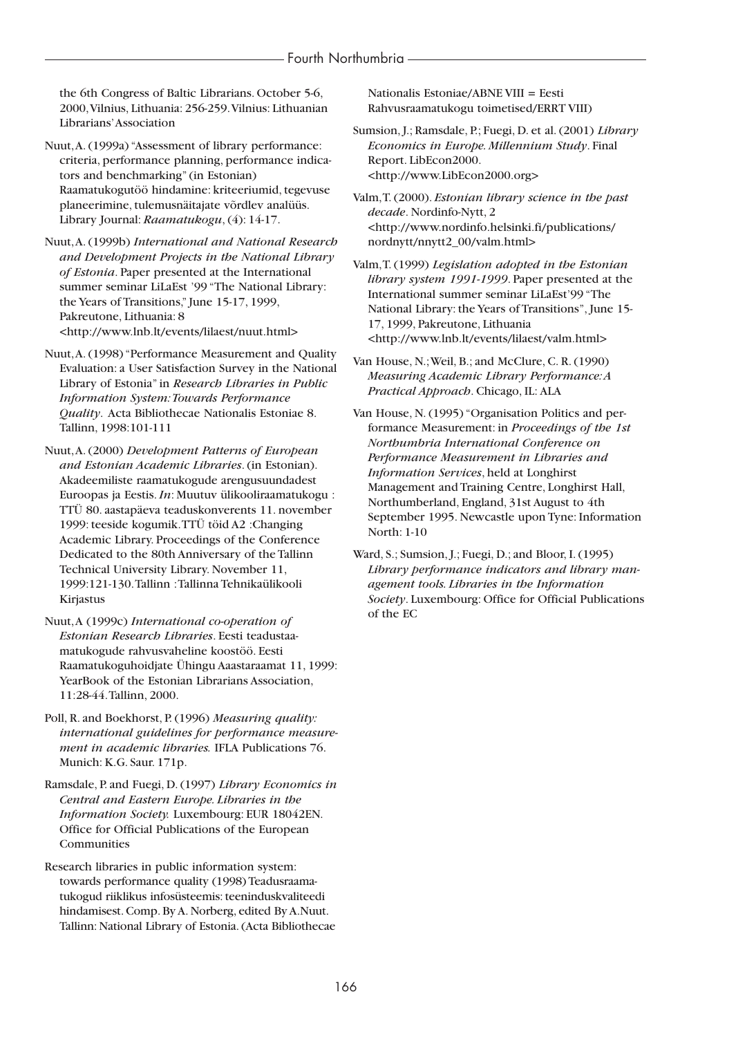the 6th Congress of Baltic Librarians. October 5-6, 2000,Vilnius, Lithuania: 256-259.Vilnius: Lithuanian Librarians'Association

Nuut,A. (1999a) "Assessment of library performance: criteria, performance planning, performance indicators and benchmarking" (in Estonian) Raamatukogutöö hindamine: kriteeriumid, tegevuse planeerimine, tulemusnäitajate võrdlev analüüs. Library Journal: *Raamatukogu*, (4): 14-17.

Nuut,A. (1999b) *International and National Research and Development Projects in the National Library of Estonia*. Paper presented at the International summer seminar LiLaEst '99 "The National Library: the Years of Transitions," June 15-17, 1999, Pakreutone, Lithuania: 8 <http://www.lnb.lt/events/lilaest/nuut.html>

Nuut,A. (1998) "Performance Measurement and Quality Evaluation: a User Satisfaction Survey in the National Library of Estonia" in *Research Libraries in Public Information System:Towards Performance Quality*. Acta Bibliothecae Nationalis Estoniae 8. Tallinn, 1998:101-111

Nuut,A. (2000) *Development Patterns of European and Estonian Academic Libraries*. (in Estonian). Akadeemiliste raamatukogude arengusuundadest Euroopas ja Eestis.*In*: Muutuv ülikooliraamatukogu : TTÜ 80. aastapäeva teaduskonverents 11. november 1999: teeside kogumik.TTÜ töid A2 :Changing Academic Library. Proceedings of the Conference Dedicated to the 80th Anniversary of the Tallinn Technical University Library. November 11, 1999:121-130.Tallinn :Tallinna Tehnikaülikooli Kirjastus

Nuut,A (1999c) *International co-operation of Estonian Research Libraries*. Eesti teadustaamatukogude rahvusvaheline koostöö. Eesti Raamatukoguhoidjate Ühingu Aaastaraamat 11, 1999: YearBook of the Estonian Librarians Association, 11:28-44.Tallinn, 2000.

Poll, R. and Boekhorst, P. (1996) *Measuring quality: international guidelines for performance measurement in academic libraries.* IFLA Publications 76. Munich: K.G. Saur. 171p.

Ramsdale, P. and Fuegi, D. (1997) *Library Economics in Central and Eastern Europe. Libraries in the Information Society.* Luxembourg: EUR 18042EN. Office for Official Publications of the European Communities

Research libraries in public information system: towards performance quality (1998) Teadusraamatukogud riiklikus infosüsteemis: teeninduskvaliteedi hindamisest. Comp. By A. Norberg, edited By A.Nuut. Tallinn: National Library of Estonia. (Acta Bibliothecae Nationalis Estoniae/ABNE VIII = Eesti Rahvusraamatukogu toimetised/ERRT VIII)

Sumsion, J.; Ramsdale, P.; Fuegi, D. et al. (2001) *Library Economics in Europe. Millennium Study*. Final Report. LibEcon2000. <http://www.LibEcon2000.org>

Valm,T. (2000). *Estonian library science in the past decade*. Nordinfo-Nytt, 2 <http://www.nordinfo.helsinki.fi/publications/ nordnytt/nnytt2\_00/valm.html>

Valm,T. (1999) *Legislation adopted in the Estonian library system 1991-1999*. Paper presented at the International summer seminar LiLaEst'99 "The National Library: the Years of Transitions", June 15- 17, 1999, Pakreutone, Lithuania <http://www.lnb.lt/events/lilaest/valm.html>

Van House, N.;Weil, B.; and McClure, C. R. (1990) *Measuring Academic Library Performance:A Practical Approach*. Chicago, IL: ALA

Van House, N. (1995) "Organisation Politics and performance Measurement: in *Proceedings of the 1st Northumbria International Conference on Performance Measurement in Libraries and Information Services*, held at Longhirst Management and Training Centre, Longhirst Hall, Northumberland, England, 31st August to 4th September 1995. Newcastle upon Tyne: Information North: 1-10

Ward, S.; Sumsion, J.; Fuegi, D.; and Bloor, I. (1995) *Library performance indicators and library management tools. Libraries in the Information Society*. Luxembourg: Office for Official Publications of the EC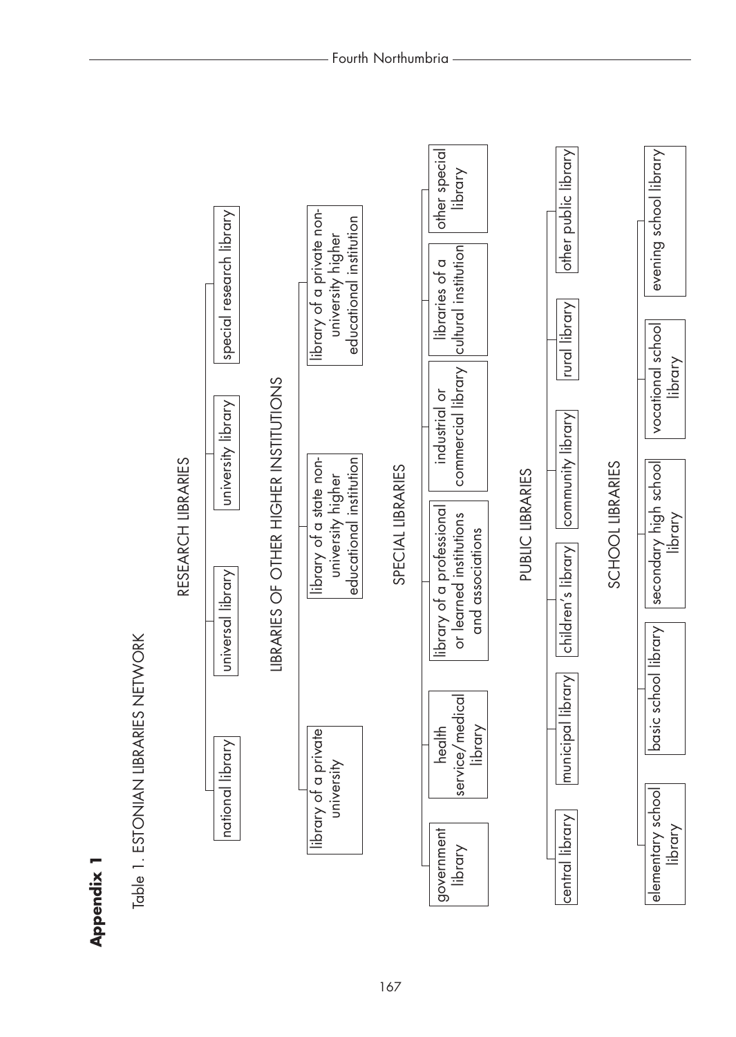| rural library<br>vocational school<br>commercial library<br>LIBRARIES OF OTHER HIGHER INSTITUTIONS<br>industrial or<br>university library<br>community library<br>library of a state non-<br>educational institution<br>RESEARCH LIBRARIES<br>SCHOOL LIBRARIES<br>secondary high school<br>SPECIAL LIBRARIES<br>PUBLIC LIBRARIES<br>university higher<br>library of a professional<br>or learned institutions<br>and associations<br>children's library<br>universal library<br>basic school library<br>ETWORK<br>$\overline{\text{C}}$<br>Table 1. ESTONIAN LIBRARIES N<br>service/medica<br>municipal libr<br>library<br>health<br>library of a private<br>national library<br>university<br>elementary school<br>central library<br>government<br>library |
|--------------------------------------------------------------------------------------------------------------------------------------------------------------------------------------------------------------------------------------------------------------------------------------------------------------------------------------------------------------------------------------------------------------------------------------------------------------------------------------------------------------------------------------------------------------------------------------------------------------------------------------------------------------------------------------------------------------------------------------------------------------|
|--------------------------------------------------------------------------------------------------------------------------------------------------------------------------------------------------------------------------------------------------------------------------------------------------------------------------------------------------------------------------------------------------------------------------------------------------------------------------------------------------------------------------------------------------------------------------------------------------------------------------------------------------------------------------------------------------------------------------------------------------------------|

Appendix 1 **Appendix 1**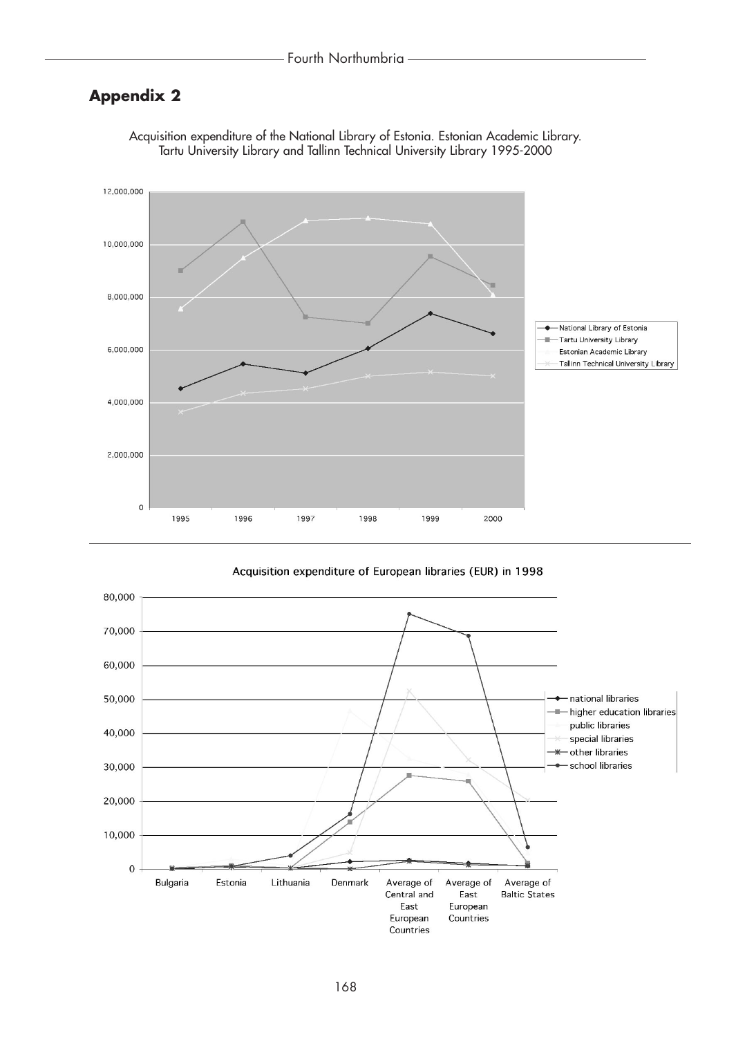## **Appendix 2**



Acquisition expenditure of the National Library of Estonia. Estonian Academic Library. Tartu University Library and Tallinn Technical University Library 1995-2000

Acquisition expenditure of European libraries (EUR) in 1998